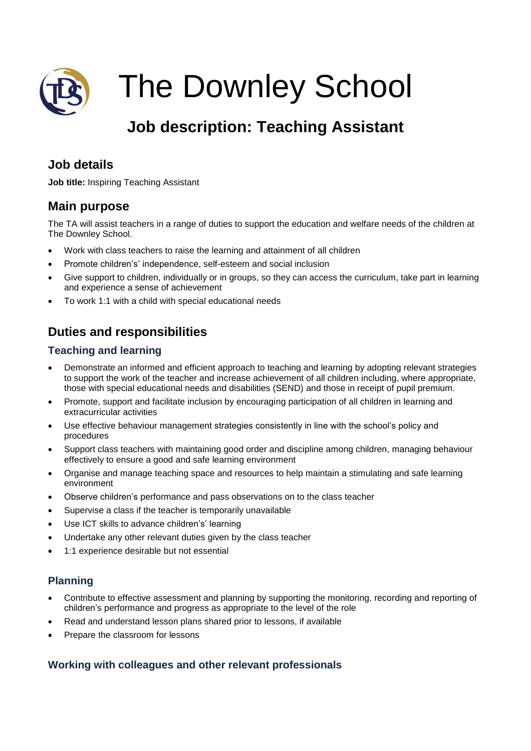

The Downley School

# **Job description: Teaching Assistant**

# **Job details**

**Job title:** Inspiring Teaching Assistant

# **Main purpose**

The TA will assist teachers in a range of duties to support the education and welfare needs of the children at The Downley School.

- Work with class teachers to raise the learning and attainment of all children
- Promote children's' independence, self-esteem and social inclusion
- Give support to children, individually or in groups, so they can access the curriculum, take part in learning and experience a sense of achievement
- To work 1:1 with a child with special educational needs

# **Duties and responsibilities**

#### **Teaching and learning**

- Demonstrate an informed and efficient approach to teaching and learning by adopting relevant strategies to support the work of the teacher and increase achievement of all children including, where appropriate, those with special educational needs and disabilities (SEND) and those in receipt of pupil premium.
- Promote, support and facilitate inclusion by encouraging participation of all children in learning and extracurricular activities
- Use effective behaviour management strategies consistently in line with the school's policy and procedures
- Support class teachers with maintaining good order and discipline among children, managing behaviour effectively to ensure a good and safe learning environment
- Organise and manage teaching space and resources to help maintain a stimulating and safe learning environment
- Observe children's performance and pass observations on to the class teacher
- Supervise a class if the teacher is temporarily unavailable
- Use ICT skills to advance children's' learning
- Undertake any other relevant duties given by the class teacher
- 1:1 experience desirable but not essential

## **Planning**

- Contribute to effective assessment and planning by supporting the monitoring, recording and reporting of children's performance and progress as appropriate to the level of the role
- Read and understand lesson plans shared prior to lessons, if available
- Prepare the classroom for lessons

## **Working with colleagues and other relevant professionals**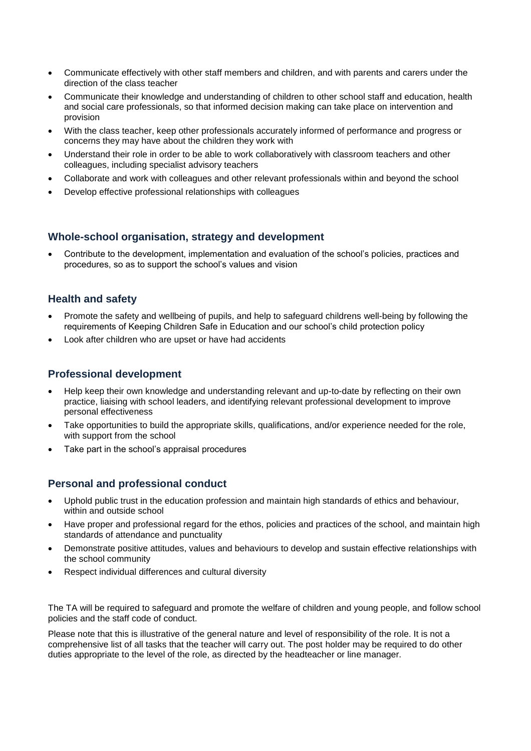- Communicate effectively with other staff members and children, and with parents and carers under the direction of the class teacher
- Communicate their knowledge and understanding of children to other school staff and education, health and social care professionals, so that informed decision making can take place on intervention and provision
- With the class teacher, keep other professionals accurately informed of performance and progress or concerns they may have about the children they work with
- Understand their role in order to be able to work collaboratively with classroom teachers and other colleagues, including specialist advisory teachers
- Collaborate and work with colleagues and other relevant professionals within and beyond the school
- Develop effective professional relationships with colleagues

#### **Whole-school organisation, strategy and development**

 Contribute to the development, implementation and evaluation of the school's policies, practices and procedures, so as to support the school's values and vision

#### **Health and safety**

- Promote the safety and wellbeing of pupils, and help to safeguard childrens well-being by following the requirements of Keeping Children Safe in Education and our school's child protection policy
- Look after children who are upset or have had accidents

#### **Professional development**

- Help keep their own knowledge and understanding relevant and up-to-date by reflecting on their own practice, liaising with school leaders, and identifying relevant professional development to improve personal effectiveness
- Take opportunities to build the appropriate skills, qualifications, and/or experience needed for the role, with support from the school
- Take part in the school's appraisal procedures

#### **Personal and professional conduct**

- Uphold public trust in the education profession and maintain high standards of ethics and behaviour, within and outside school
- Have proper and professional regard for the ethos, policies and practices of the school, and maintain high standards of attendance and punctuality
- Demonstrate positive attitudes, values and behaviours to develop and sustain effective relationships with the school community
- Respect individual differences and cultural diversity

The TA will be required to safeguard and promote the welfare of children and young people, and follow school policies and the staff code of conduct.

Please note that this is illustrative of the general nature and level of responsibility of the role. It is not a comprehensive list of all tasks that the teacher will carry out. The post holder may be required to do other duties appropriate to the level of the role, as directed by the headteacher or line manager.